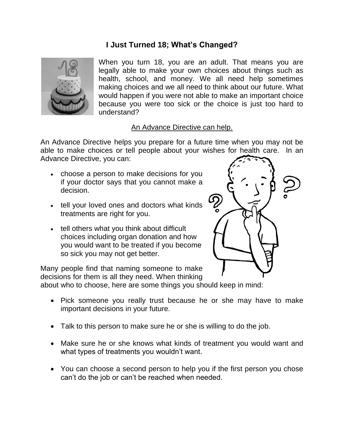## **I Just Turned 18; What's Changed?**



When you turn 18, you are an adult. That means you are legally able to make your own choices about things such as health, school, and money. We all need help sometimes making choices and we all need to think about our future. What would happen if you were not able to make an important choice because you were too sick or the choice is just too hard to understand?

## An Advance Directive can help.

An Advance Directive helps you prepare for a future time when you may not be able to make choices or tell people about your wishes for health care. In an Advance Directive, you can:

- choose a person to make decisions for you if your doctor says that you cannot make a decision.
- tell your loved ones and doctors what kinds treatments are right for you.
- tell others what you think about difficult choices including organ donation and how you would want to be treated if you become so sick you may not get better.

Many people find that naming someone to make decisions for them is all they need. When thinking



about who to choose, here are some things you should keep in mind:

- Pick someone you really trust because he or she may have to make important decisions in your future.
- Talk to this person to make sure he or she is willing to do the job.
- Make sure he or she knows what kinds of treatment you would want and what types of treatments you wouldn't want.
- You can choose a second person to help you if the first person you chose can't do the job or can't be reached when needed.